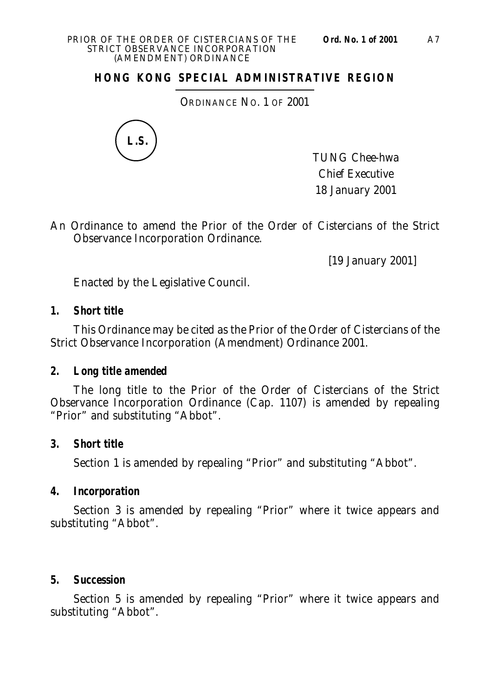### **HONG KONG SPECIAL ADMINISTRATIVE REGION**

ORDINANCE NO. 1 OF 2001



TUNG Chee-hwa Chief Executive 18 January 2001

An Ordinance to amend the Prior of the Order of Cistercians of the Strict Observance Incorporation Ordinance.

[19 January 2001]

Enacted by the Legislative Council.

### **1. Short title**

This Ordinance may be cited as the Prior of the Order of Cistercians of the Strict Observance Incorporation (Amendment) Ordinance 2001.

#### **2. Long title amended**

The long title to the Prior of the Order of Cistercians of the Strict Observance Incorporation Ordinance (Cap. 1107) is amended by repealing "Prior" and substituting "Abbot".

#### **3. Short title**

Section 1 is amended by repealing "Prior" and substituting "Abbot".

#### **4. Incorporation**

Section 3 is amended by repealing "Prior" where it twice appears and substituting "Abbot".

#### **5. Succession**

Section 5 is amended by repealing "Prior" where it twice appears and substituting "Abbot".